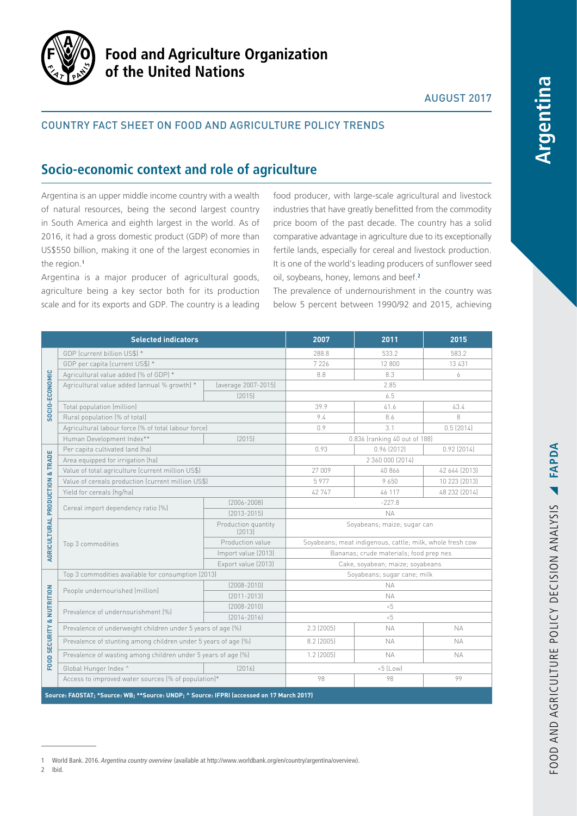

# **Food and Agriculture Organization** of the United Nations

## AUGUST 2017

## COUNTRY FACT SHEET ON FOOD AND AGRICULTURE POLICY TRENDS

# **Socio-economic context and role of agriculture**

Argentina is an upper middle income country with a wealth of natural resources, being the second largest country in South America and eighth largest in the world. As of 2016, it had a gross domestic product (GDP) of more than US\$550 billion, making it one of the largest economies in the region.**<sup>1</sup>**

Argentina is a major producer of agricultural goods, agriculture being a key sector both for its production scale and for its exports and GDP. The country is a leading

food producer, with large-scale agricultural and livestock industries that have greatly benefitted from the commodity price boom of the past decade. The country has a solid comparative advantage in agriculture due to its exceptionally fertile lands, especially for cereal and livestock production. It is one of the world's leading producers of sunflower seed oil, soybeans, honey, lemons and beef.**<sup>2</sup>**

The prevalence of undernourishment in the country was below 5 percent between 1990/92 and 2015, achieving

| <b>Selected indicators</b>                                                                |                                                                |                               | 2007                                                      | 2011       | 2015          |
|-------------------------------------------------------------------------------------------|----------------------------------------------------------------|-------------------------------|-----------------------------------------------------------|------------|---------------|
| SOCIO-ECONOMIC<br>& TRADE<br>AGRICULTURAL PRODUCTION                                      | GDP (current billion US\$) *                                   |                               | 288.8                                                     | 533.2      | 583.2         |
|                                                                                           | GDP per capita (current US\$) *                                |                               | 7 2 2 6                                                   | 12 800     | 13 4 31       |
|                                                                                           | Agricultural value added (% of GDP) *                          |                               | 8.8                                                       | 8.3        | 6             |
|                                                                                           | Agricultural value added (annual % growth) *                   | (average 2007-2015)           | 2.85                                                      |            |               |
|                                                                                           |                                                                | (2015)                        | 6.5                                                       |            |               |
|                                                                                           | Total population (million)                                     |                               | 39.9                                                      | 41.6       | 43.4          |
|                                                                                           | Rural population (% of total)                                  |                               | 9.4                                                       | 8.6        | 8             |
|                                                                                           | Agricultural labour force (% of total labour force)            |                               | 0.9                                                       | 3.1        | 0.5(2014)     |
|                                                                                           | Human Development Index**                                      | [2015]                        | 0.836 (ranking 40 out of 188)                             |            |               |
|                                                                                           | Per capita cultivated land (ha)                                |                               | 0.93                                                      | 0.96(2012) | $0.92$ (2014) |
|                                                                                           | Area equipped for irrigation (ha)                              |                               | 2 360 000 (2014)                                          |            |               |
|                                                                                           | Value of total agriculture (current million US\$)              |                               | 27 009                                                    | 40 866     | 42 644 (2013) |
|                                                                                           | Value of cereals production (current million US\$)             |                               | 5977                                                      | 9650       | 10 223 (2013) |
|                                                                                           | Yield for cereals (hg/ha)                                      |                               | 42 747                                                    | 46 117     | 48 232 (2014) |
|                                                                                           | Cereal import dependency ratio [%]                             | $[2006 - 2008]$               | $-227.8$                                                  |            |               |
|                                                                                           |                                                                | $[2013 - 2015]$               | <b>NA</b>                                                 |            |               |
|                                                                                           | Top 3 commodities                                              | Production quantity<br>[2013] | Soyabeans; maize; sugar can                               |            |               |
|                                                                                           |                                                                | Production value              | Soyabeans; meat indigenous, cattle; milk, whole fresh cow |            |               |
|                                                                                           |                                                                | Import value (2013)           | Bananas; crude materials; food prep nes                   |            |               |
|                                                                                           |                                                                | Export value (2013)           | Cake, soyabean; maize; soyabeans                          |            |               |
| & NUTRITION<br>FOOD SECURITY                                                              | Top 3 commodities available for consumption (2013)             |                               | Soyabeans; sugar cane; milk                               |            |               |
|                                                                                           | People undernourished (million)                                | $[2008 - 2010]$               | <b>NA</b>                                                 |            |               |
|                                                                                           |                                                                | $[2011 - 2013]$               | <b>NA</b>                                                 |            |               |
|                                                                                           | Prevalence of undernourishment [%]                             | $[2008 - 2010]$               | ~5                                                        |            |               |
|                                                                                           |                                                                | $[2014 - 2016]$               | ~5                                                        |            |               |
|                                                                                           | Prevalence of underweight children under 5 years of age (%)    |                               | $2.3$ (2005)                                              | <b>NA</b>  | <b>NA</b>     |
|                                                                                           | Prevalence of stunting among children under 5 years of age (%) |                               | $8.2$ (2005)                                              | <b>NA</b>  | ΝA.           |
|                                                                                           | Prevalence of wasting among children under 5 years of age (%)  |                               | $1.2$ (2005)                                              | <b>NA</b>  | <b>NA</b>     |
|                                                                                           | Global Hunger Index ^                                          | [2016]                        | $-5$ (Low)                                                |            |               |
|                                                                                           | Access to improved water sources (% of population)*            |                               | 98                                                        | 98         | 99            |
| Source: FAOSTAT; *Source: WB; **Source: UNDP; ^ Source: IFPRI (accessed on 17 March 2017) |                                                                |                               |                                                           |            |               |

2 Ibid.

<sup>1</sup> World Bank. 2016. *Argentina country overview* (available at [http://www.worldbank.org/en/country/argentina/overview\)](http://www.worldbank.org/en/country/argentina/overview).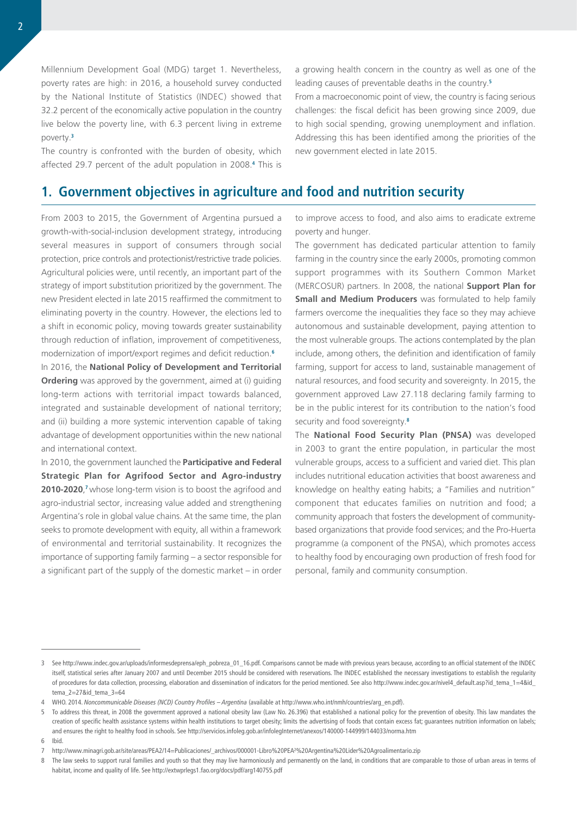Millennium Development Goal (MDG) target 1. Nevertheless, poverty rates are high: in 2016, a household survey conducted by the National Institute of Statistics (INDEC) showed that 32.2 percent of the economically active population in the country live below the poverty line, with 6.3 percent living in extreme poverty.**<sup>3</sup>**

The country is confronted with the burden of obesity, which affected 29.7 percent of the adult population in 2008.**<sup>4</sup>** This is a growing health concern in the country as well as one of the leading causes of preventable deaths in the country.**<sup>5</sup>**

From a macroeconomic point of view, the country is facing serious challenges: the fiscal deficit has been growing since 2009, due to high social spending, growing unemployment and inflation. Addressing this has been identified among the priorities of the new government elected in late 2015.

## **1. Government objectives in agriculture and food and nutrition security**

From 2003 to 2015, the Government of Argentina pursued a growth-with-social-inclusion development strategy, introducing several measures in support of consumers through social protection, price controls and protectionist/restrictive trade policies. Agricultural policies were, until recently, an important part of the strategy of import substitution prioritized by the government. The new President elected in late 2015 reaffirmed the commitment to eliminating poverty in the country. However, the elections led to a shift in economic policy, moving towards greater sustainability through reduction of inflation, improvement of competitiveness, modernization of import/export regimes and deficit reduction.**<sup>6</sup>**

In 2016, the **National Policy of Development and Territorial Ordering** was approved by the government, aimed at (i) guiding long-term actions with territorial impact towards balanced, integrated and sustainable development of national territory; and (ii) building a more systemic intervention capable of taking advantage of development opportunities within the new national and international context.

In 2010, the government launched the **Participative and Federal Strategic Plan for Agrifood Sector and Agro-industry 2010-2020**, **<sup>7</sup>** whose long-term vision is to boost the agrifood and agro-industrial sector, increasing value added and strengthening Argentina's role in global value chains. At the same time, the plan seeks to promote development with equity, all within a framework of environmental and territorial sustainability. It recognizes the importance of supporting family farming – a sector responsible for a significant part of the supply of the domestic market – in order

to improve access to food, and also aims to eradicate extreme poverty and hunger.

The government has dedicated particular attention to family farming in the country since the early 2000s, promoting common support programmes with its Southern Common Market (MERCOSUR) partners. In 2008, the national **Support Plan for Small and Medium Producers** was formulated to help family farmers overcome the inequalities they face so they may achieve autonomous and sustainable development, paying attention to the most vulnerable groups. The actions contemplated by the plan include, among others, the definition and identification of family farming, support for access to land, sustainable management of natural resources, and food security and sovereignty. In 2015, the government approved Law 27.118 declaring family farming to be in the public interest for its contribution to the nation's food security and food sovereignty.**<sup>8</sup>**

The **National Food Security Plan (PNSA)** was developed in 2003 to grant the entire population, in particular the most vulnerable groups, access to a sufficient and varied diet. This plan includes nutritional education activities that boost awareness and knowledge on healthy eating habits; a "Families and nutrition" component that educates families on nutrition and food; a community approach that fosters the development of communitybased organizations that provide food services; and the Pro-Huerta programme (a component of the PNSA), which promotes access to healthy food by encouraging own production of fresh food for personal, family and community consumption.

6 Ibid.

<sup>3</sup> See [http://www.indec.gov.ar/uploads/informesdeprensa/eph\\_pobreza\\_01\\_16.pdf.](http://www.indec.gov.ar/uploads/informesdeprensa/eph_pobreza_01_16.pdf) Comparisons cannot be made with previous years because, according to an official statement of the INDEC itself, statistical series after January 2007 and until December 2015 should be considered with reservations. The INDEC established the necessary investigations to establish the regularity of procedures for data collection, processing, elaboration and dissemination of indicators for the period mentioned. See also [http://www.indec.gov.ar/nivel4\\_default.asp?id\\_tema\\_1=4&id\\_](http://www.indec.gov.ar/nivel4_default.asp?id_tema_1=4&id_tema_2=27&id_tema_3=64) [tema\\_2=27&id\\_tema\\_3=64](http://www.indec.gov.ar/nivel4_default.asp?id_tema_1=4&id_tema_2=27&id_tema_3=64)

<sup>4</sup> WHO. 2014. *Noncommunicable Diseases (NCD) Country Profiles – Argentina* (available at [http://www.who.int/nmh/countries/arg\\_en.pdf\)](http://www.who.int/nmh/countries/arg_en.pdf).

<sup>5</sup> To address this threat, in 2008 the government approved a national obesity law (Law No. 26.396) that established a national policy for the prevention of obesity. This law mandates the creation of specific health assistance systems within health institutions to target obesity; limits the advertising of foods that contain excess fat; guarantees nutrition information on labels; and ensures the right to healthy food in schools. See <http://servicios.infoleg.gob.ar/infolegInternet/anexos/140000-144999/144033/norma.htm>

<sup>7</sup> [http://www.minagri.gob.ar/site/areas/PEA2/14=Publicaciones/\\_archivos/000001-Libro%20PEA²%20Argentina%20Lider%20Agroalimentario.zip](http://www.minagri.gob.ar/site/areas/PEA2/14=Publicaciones/_archivos/000001-Libro%20PEA²%20Argentina%20Lider%20Agroalimentario.zip)

<sup>8</sup> The law seeks to support rural families and youth so that they may live harmoniously and permanently on the land, in conditions that are comparable to those of urban areas in terms of habitat, income and quality of life. See<http://extwprlegs1.fao.org/docs/pdf/arg140755.pdf>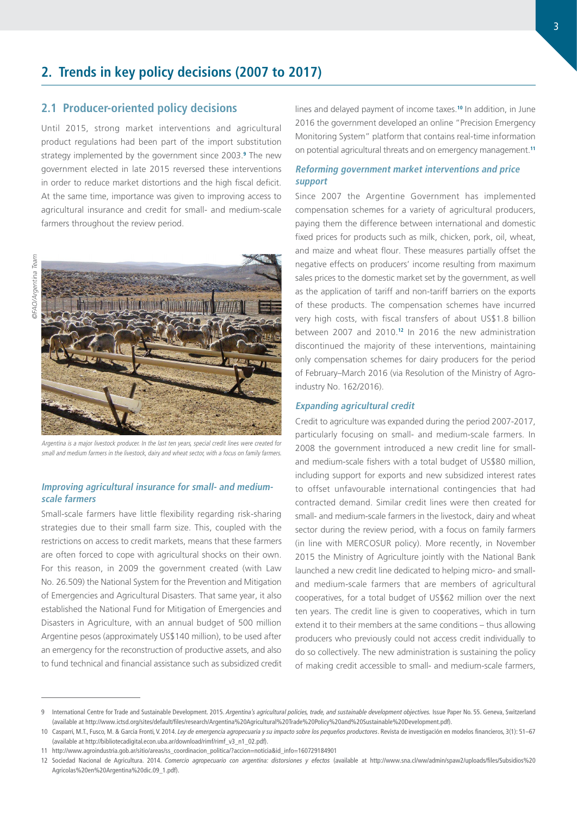## **2. Trends in key policy decisions (2007 to 2017)**

## **2.1 Producer-oriented policy decisions**

Until 2015, strong market interventions and agricultural product regulations had been part of the import substitution strategy implemented by the government since 2003.**<sup>9</sup>** The new government elected in late 2015 reversed these interventions in order to reduce market distortions and the high fiscal deficit. At the same time, importance was given to improving access to agricultural insurance and credit for small- and medium-scale farmers throughout the review period.



Argentina is a major livestock producer. In the last ten years, special credit lines were created for small and medium farmers in the livestock, dairy and wheat sector, with a focus on family farmers.

### **Improving agricultural insurance for small- and mediumscale farmers**

Small-scale farmers have little flexibility regarding risk-sharing strategies due to their small farm size. This, coupled with the restrictions on access to credit markets, means that these farmers are often forced to cope with agricultural shocks on their own. For this reason, in 2009 the government created (with Law No. 26.509) the National System for the Prevention and Mitigation of Emergencies and Agricultural Disasters. That same year, it also established the National Fund for Mitigation of Emergencies and Disasters in Agriculture, with an annual budget of 500 million Argentine pesos (approximately US\$140 million), to be used after an emergency for the reconstruction of productive assets, and also to fund technical and financial assistance such as subsidized credit lines and delayed payment of income taxes.**<sup>10</sup>** In addition, in June 2016 the government developed an online "Precision Emergency Monitoring System" platform that contains real-time information on potential agricultural threats and on emergency management.**<sup>11</sup>**

#### **Reforming government market interventions and price support**

Since 2007 the Argentine Government has implemented compensation schemes for a variety of agricultural producers, paying them the difference between international and domestic fixed prices for products such as milk, chicken, pork, oil, wheat, and maize and wheat flour. These measures partially offset the negative effects on producers' income resulting from maximum sales prices to the domestic market set by the government, as well as the application of tariff and non-tariff barriers on the exports of these products. The compensation schemes have incurred very high costs, with fiscal transfers of about US\$1.8 billion between 2007 and 2010.**<sup>12</sup>** In 2016 the new administration discontinued the majority of these interventions, maintaining only compensation schemes for dairy producers for the period of February–March 2016 (via Resolution of the Ministry of Agroindustry No. 162/2016).

#### **Expanding agricultural credit**

Credit to agriculture was expanded during the period 2007-2017, particularly focusing on small- and medium-scale farmers. In 2008 the government introduced a new credit line for smalland medium-scale fishers with a total budget of US\$80 million, including support for exports and new subsidized interest rates to offset unfavourable international contingencies that had contracted demand. Similar credit lines were then created for small- and medium-scale farmers in the livestock, dairy and wheat sector during the review period, with a focus on family farmers (in line with MERCOSUR policy). More recently, in November 2015 the Ministry of Agriculture jointly with the National Bank launched a new credit line dedicated to helping micro- and smalland medium-scale farmers that are members of agricultural cooperatives, for a total budget of US\$62 million over the next ten years. The credit line is given to cooperatives, which in turn extend it to their members at the same conditions – thus allowing producers who previously could not access credit individually to do so collectively. The new administration is sustaining the policy of making credit accessible to small- and medium-scale farmers,

<sup>9</sup> International Centre for Trade and Sustainable Development. 2015. *Argentina's agricultural policies, trade, and sustainable development objectives.* Issue Paper No. 55. Geneva, Switzerland (available at<http://www.ictsd.org/sites/default/files/research/Argentina%20Agricultural%20Trade%20Policy%20and%20Sustainable%20Development.pdf>).

<sup>10</sup> Casparri, M.T., Fusco, M. & García Fronti, V. 2014. *Ley de emergencia agropecuaria y su impacto sobre los pequeños productores*. Revista de investigación en modelos financieros, 3(1): 51–67 (available at [http://bibliotecadigital.econ.uba.ar/download/rimf/rimf\\_v3\\_n1\\_02.pdf](http://bibliotecadigital.econ.uba.ar/download/rimf/rimf_v3_n1_02.pdf)).

<sup>11</sup> [http://www.agroindustria.gob.ar/sitio/areas/ss\\_coordinacion\\_politica/?accion=noticia&id\\_info=160729184901](http://www.agroindustria.gob.ar/sitio/areas/ss_coordinacion_politica/?accion=noticia&id_info=160729184901)

<sup>12</sup> Sociedad Nacional de Agricultura. 2014. *Comercio agropecuario con argentina: distorsiones y efectos* (available at [http://www.sna.cl/ww/admin/spaw2/uploads/files/Subsidios%20](http://www.sna.cl/ww/admin/spaw2/uploads/files/Subsidios%20Agricolas%20en%20Argentina%20dic.09_1.pdf) [Agricolas%20en%20Argentina%20dic.09\\_1.pdf\)](http://www.sna.cl/ww/admin/spaw2/uploads/files/Subsidios%20Agricolas%20en%20Argentina%20dic.09_1.pdf).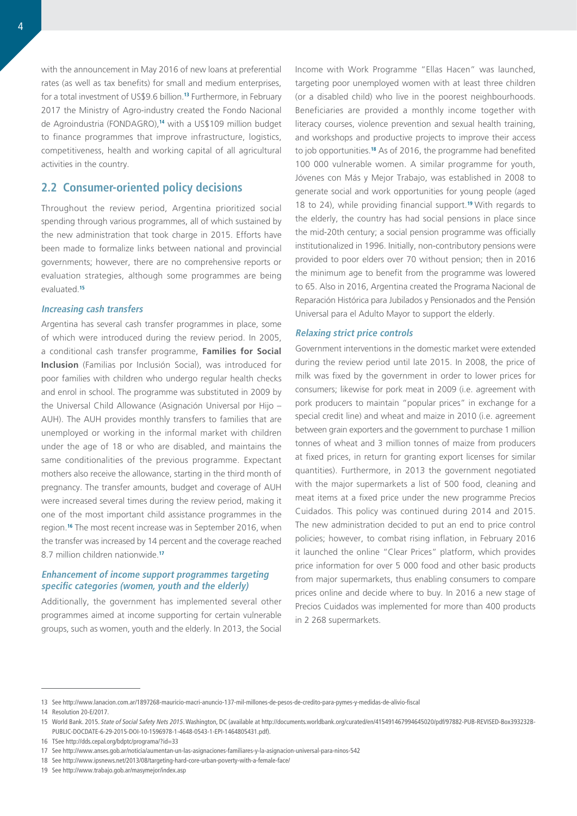with the announcement in May 2016 of new loans at preferential rates (as well as tax benefits) for small and medium enterprises, for a total investment of US\$9.6 billion.**<sup>13</sup>** Furthermore, in February 2017 the Ministry of Agro-industry created the Fondo Nacional de Agroindustria (FONDAGRO),**<sup>14</sup>** with a US\$109 million budget to finance programmes that improve infrastructure, logistics, competitiveness, health and working capital of all agricultural activities in the country.

## **2.2 Consumer-oriented policy decisions**

Throughout the review period, Argentina prioritized social spending through various programmes, all of which sustained by the new administration that took charge in 2015. Efforts have been made to formalize links between national and provincial governments; however, there are no comprehensive reports or evaluation strategies, although some programmes are being evaluated.**<sup>15</sup>**

#### **Increasing cash transfers**

Argentina has several cash transfer programmes in place, some of which were introduced during the review period. In 2005, a conditional cash transfer programme, **Families for Social Inclusion** (Familias por Inclusión Social), was introduced for poor families with children who undergo regular health checks and enrol in school. The programme was substituted in 2009 by the Universal Child Allowance (Asignación Universal por Hijo – AUH). The AUH provides monthly transfers to families that are unemployed or working in the informal market with children under the age of 18 or who are disabled, and maintains the same conditionalities of the previous programme. Expectant mothers also receive the allowance, starting in the third month of pregnancy. The transfer amounts, budget and coverage of AUH were increased several times during the review period, making it one of the most important child assistance programmes in the region.**<sup>16</sup>** The most recent increase was in September 2016, when the transfer was increased by 14 percent and the coverage reached 8.7 million children nationwide.**<sup>17</sup>**

### **Enhancement of income support programmes targeting specific categories (women, youth and the elderly)**

Additionally, the government has implemented several other programmes aimed at income supporting for certain vulnerable groups, such as women, youth and the elderly. In 2013, the Social

Income with Work Programme "Ellas Hacen" was launched, targeting poor unemployed women with at least three children (or a disabled child) who live in the poorest neighbourhoods. Beneficiaries are provided a monthly income together with literacy courses, violence prevention and sexual health training, and workshops and productive projects to improve their access to job opportunities.**<sup>18</sup>** As of 2016, the programme had benefited 100 000 vulnerable women. A similar programme for youth, Jóvenes con Más y Mejor Trabajo, was established in 2008 to generate social and work opportunities for young people (aged 18 to 24), while providing financial support.**<sup>19</sup>** With regards to the elderly, the country has had social pensions in place since the mid-20th century; a social pension programme was officially institutionalized in 1996. Initially, non-contributory pensions were provided to poor elders over 70 without pension; then in 2016 the minimum age to benefit from the programme was lowered to 65. Also in 2016, Argentina created the Programa Nacional de Reparación Histórica para Jubilados y Pensionados and the Pensión Universal para el Adulto Mayor to support the elderly.

#### **Relaxing strict price controls**

Government interventions in the domestic market were extended during the review period until late 2015. In 2008, the price of milk was fixed by the government in order to lower prices for consumers; likewise for pork meat in 2009 (i.e. agreement with pork producers to maintain "popular prices" in exchange for a special credit line) and wheat and maize in 2010 (i.e. agreement between grain exporters and the government to purchase 1 million tonnes of wheat and 3 million tonnes of maize from producers at fixed prices, in return for granting export licenses for similar quantities). Furthermore, in 2013 the government negotiated with the major supermarkets a list of 500 food, cleaning and meat items at a fixed price under the new programme Precios Cuidados. This policy was continued during 2014 and 2015. The new administration decided to put an end to price control policies; however, to combat rising inflation, in February 2016 it launched the online "Clear Prices" platform, which provides price information for over 5 000 food and other basic products from major supermarkets, thus enabling consumers to compare prices online and decide where to buy. In 2016 a new stage of Precios Cuidados was implemented for more than 400 products in 2 268 supermarkets.

<sup>13</sup> See <http://www.lanacion.com.ar/1897268-mauricio-macri-anuncio-137-mil-millones-de-pesos-de-credito-para-pymes-y-medidas-de-alivio-fiscal>

<sup>14</sup> Resolution 20-E/2017.

<sup>15</sup> World Bank. 2015. *State of Social Safety Nets 2015*. Washington, DC (available at [http://documents.worldbank.org/curated/en/415491467994645020/pdf/97882-PUB-REVISED-Box393232B-](http://documents.worldbank.org/curated/en/415491467994645020/pdf/97882-PUB-REVISED-Box393232B-PUBLIC-DOCDATE-6-29-2015-DOI-10-1596978-1-4648-0543-1-EPI-1464805431.pdf)[PUBLIC-DOCDATE-6-29-2015-DOI-10-1596978-1-4648-0543-1-EPI-1464805431.pdf\)](http://documents.worldbank.org/curated/en/415491467994645020/pdf/97882-PUB-REVISED-Box393232B-PUBLIC-DOCDATE-6-29-2015-DOI-10-1596978-1-4648-0543-1-EPI-1464805431.pdf).

<sup>16</sup> TSee <http://dds.cepal.org/bdptc/programa/?id=33>

<sup>17</sup> See <http://www.anses.gob.ar/noticia/aumentan-un-las-asignaciones-familiares-y-la-asignacion-universal-para-ninos-542>

<sup>18</sup> See <http://www.ipsnews.net/2013/08/targeting-hard-core-urban-poverty-with-a-female-face/>

<sup>19</sup> See <http://www.trabajo.gob.ar/masymejor/index.asp>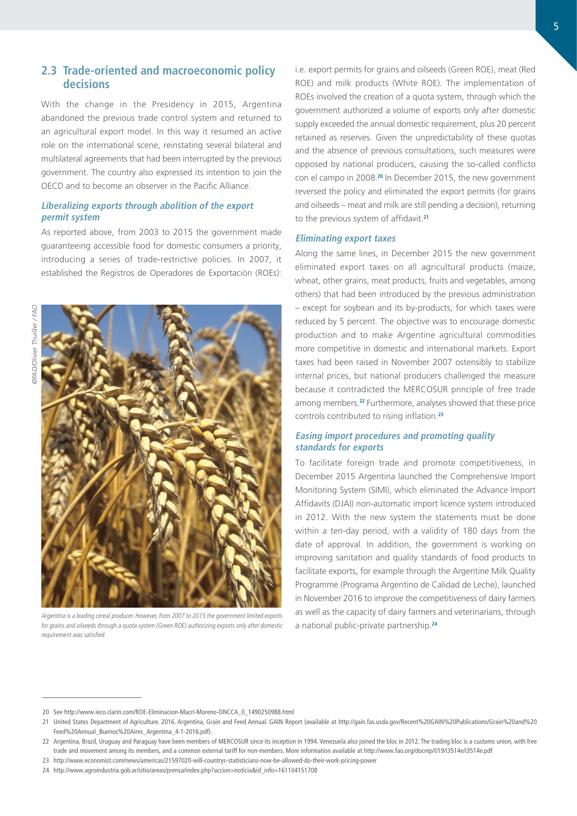## **2.3 Trade-oriented and macroeconomic policy decisions**

With the change in the Presidency in 2015, Argentina abandoned the previous trade control system and returned to an agricultural export model. In this way it resumed an active role on the international scene, reinstating several bilateral and multilateral agreements that had been interrupted by the previous government. The country also expressed its intention to join the OECD and to become an observer in the Pacific Alliance.

#### **Liberalizing exports through abolition of the export permit system**

As reported above, from 2003 to 2015 the government made guaranteeing accessible food for domestic consumers a priority, introducing a series of trade-restrictive policies. In 2007, it established the Registros de Operadores de Exportación (ROEs):



Argentina is a leading cereal producer. However, from 2007 to 2015 the government limited exports for grains and oilseeds through a quota system (Green ROE) authorizing exports only after domestic requirement was satisfied.

i.e. export permits for grains and oilseeds (Green ROE), meat (Red ROE) and milk products (White ROE). The implementation of ROEs involved the creation of a quota system, through which the government authorized a volume of exports only after domestic supply exceeded the annual domestic requirement, plus 20 percent retained as reserves. Given the unpredictability of these quotas and the absence of previous consultations, such measures were opposed by national producers, causing the so-called conflicto con el campo in 2008.**<sup>20</sup>** In December 2015, the new government reversed the policy and eliminated the export permits (for grains and oilseeds – meat and milk are still pending a decision), returning to the previous system of affidavit.**<sup>21</sup>**

#### **Eliminating export taxes**

Along the same lines, in December 2015 the new government eliminated export taxes on all agricultural products (maize, wheat, other grains, meat products, fruits and vegetables, among others) that had been introduced by the previous administration – except for soybean and its by-products, for which taxes were reduced by 5 percent. The objective was to encourage domestic production and to make Argentine agricultural commodities more competitive in domestic and international markets. Export taxes had been raised in November 2007 ostensibly to stabilize internal prices, but national producers challenged the measure because it contradicted the MERCOSUR principle of free trade among members.**<sup>22</sup>** Furthermore, analyses showed that these price controls contributed to rising inflation.**<sup>23</sup>**

### **Easing import procedures and promoting quality standards for exports**

To facilitate foreign trade and promote competitiveness, in December 2015 Argentina launched the Comprehensive Import Monitoring System (SIMI), which eliminated the Advance Import Affidavits (DJAI) non-automatic import licence system introduced in 2012. With the new system the statements must be done within a ten-day period, with a validity of 180 days from the date of approval. In addition, the government is working on improving sanitation and quality standards of food products to facilitate exports, for example through the Argentine Milk Quality Programme (Programa Argentino de Calidad de Leche), launched in November 2016 to improve the competitiveness of dairy farmers as well as the capacity of dairy farmers and veterinarians, through a national public-private partnership.**<sup>24</sup>**

<sup>20</sup> See [http://www.ieco.clarin.com/ROE-Eliminacion-Macri-Moreno-ONCCA\\_0\\_1490250988.html](http://www.ieco.clarin.com/ROE-Eliminacion-Macri-Moreno-ONCCA_0_1490250988.html)

<sup>21</sup> United States Department of Agriculture. 2016. Argentina, Grain and Feed Annual. GAIN Report (available at [http://gain.fas.usda.gov/Recent%20GAIN%20Publications/Grain%20and%20](http://gain.fas.usda.gov/Recent%20GAIN%20Publications/Grain%20and%20Feed%20Annual_Buenos%20Aires_Argentina_4-1-2016.pdf) [Feed%20Annual\\_Buenos%20Aires\\_Argentina\\_4-1-2016.pdf](http://gain.fas.usda.gov/Recent%20GAIN%20Publications/Grain%20and%20Feed%20Annual_Buenos%20Aires_Argentina_4-1-2016.pdf)).

<sup>22</sup> Argentina, Brazil, Uruguay and Paraguay have been members of MERCOSUR since its inception in 1994. Venezuela also joined the bloc in 2012. The trading bloc is a customs union, with free trade and movement among its members, and a common external tariff for non-members. More information available at <http://www.fao.org/docrep/019/i3514e/i3514e.pdf>

<sup>23</sup> [http://www.economist.com/news/americas/21597020-will-countrys-statisticians-now-be-allowed-do-their-work-pricing-power](http://www.economist.com/news/americas/21597020-will-countrys-statisticians-now-be-allowed-do-their-work-pricing-power.)

<sup>24</sup> [http://www.agroindustria.gob.ar/sitio/areas/prensa/index.php?accion=noticia&id\\_info=161104151708](http://www.agroindustria.gob.ar/sitio/areas/prensa/index.php?accion=noticia&id_info=161104151708)